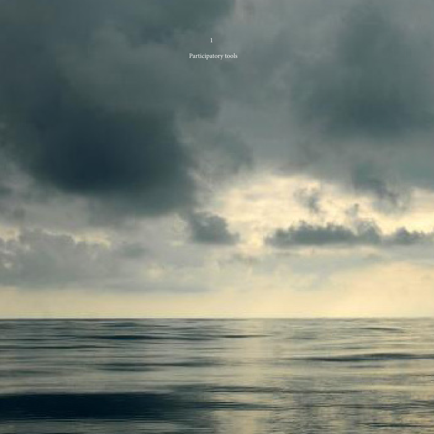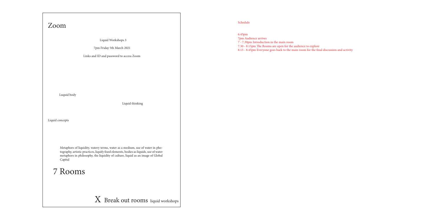7pm Audience arrives

7 - 7.30pm Introduction in the main room

7.30 - 8.15pm The Rooms are open for the audience to explore

8.15 - 8.45pm Everyone goes back to the main room for the final discussion and activity

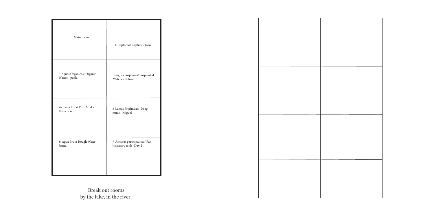Break out rooms by the lake, in the river

| Main room                  | 1-Captacao/ Capture - Joao     |
|----------------------------|--------------------------------|
| 2-Aguas Organicas/ Organic | 3-Aguas Suspensas/ Suspended   |
| Waters - paula             | Waters - Betina                |
| 4- Lama Pura/ Pure Mud -   | 5-Lamas Profundas/ Deep        |
| Francisco                  | muds - Miguel                  |
| 6-Agua Bruta-Rough Water - | 7-Ancoras participativas/ Par- |
| Joana                      | ticipatory tools- David        |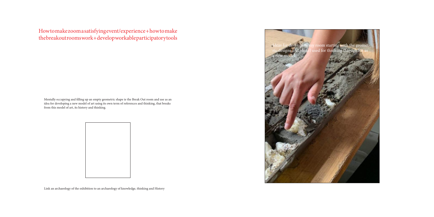## How to make zoom a satisfying event/experience + how to make the breakout rooms work + develop workable participatory tools

Mentally occupying and filling up an empty geometric shape ie the Break Out room and use as an idea for developing a new model of art using its own term of references and thinking, that breaks from this model of art, its history and thinking.



Ideas for **develo**ping my room **starting with the geomet**ric designs and ideas l used for thniking through PA as a new model.

Link an archaeology of the exhibition to an archaeology of knowledge, thinking and History